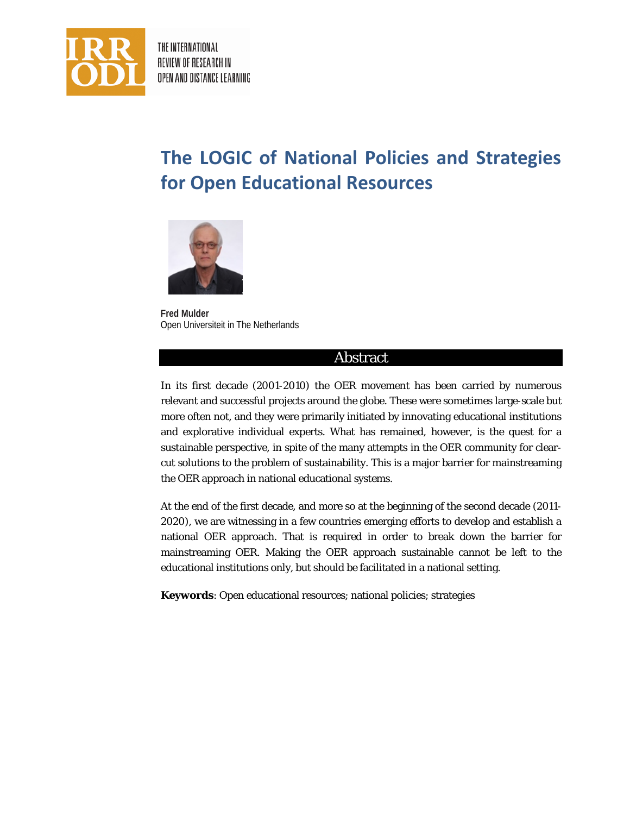

THE INTERNATIONAL REVIEW OF RESEARCH IN OPEN AND DISTANCE LEARNING

# **The LOGIC of National Policies and Strategies for Open Educational Resources**



**Fred Mulder** Open Universiteit in The Netherlands

### Abstract

In its first decade (2001-2010) the OER movement has been carried by numerous relevant and successful projects around the globe. These were sometimes large-scale but more often not, and they were primarily initiated by innovating educational institutions and explorative individual experts. What has remained, however, is the quest for a sustainable perspective, in spite of the many attempts in the OER community for clearcut solutions to the problem of sustainability. This is a major barrier for mainstreaming the OER approach in national educational systems.

At the end of the first decade, and more so at the beginning of the second decade (2011- 2020), we are witnessing in a few countries emerging efforts to develop and establish a national OER approach. That is required in order to break down the barrier for mainstreaming OER. Making the OER approach sustainable cannot be left to the educational institutions only, but should be facilitated in a national setting.

**Keywords**: Open educational resources; national policies; strategies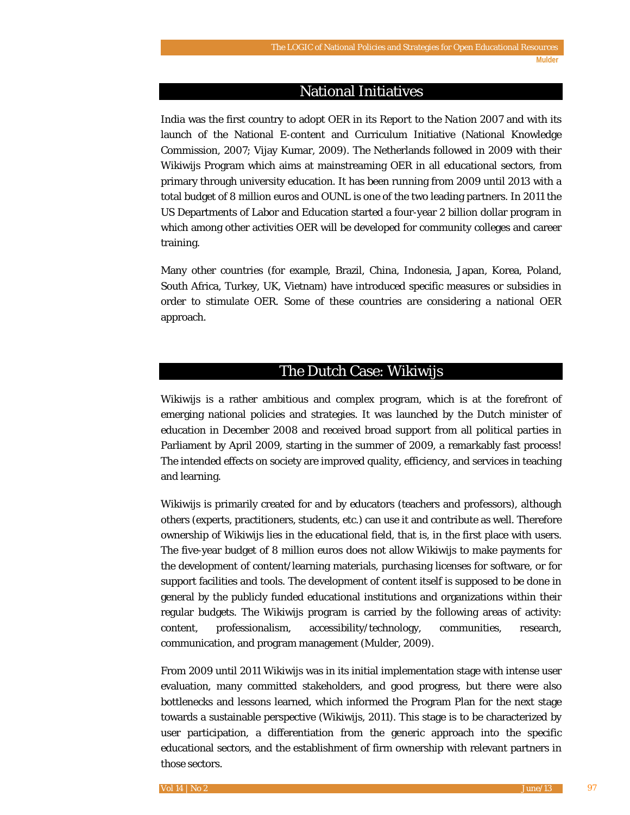### National Initiatives

India was the first country to adopt OER in its *Report to the Nation 2007* and with its launch of the National E-content and Curriculum Initiative (National Knowledge Commission, 2007; Vijay Kumar, 2009). The Netherlands followed in 2009 with their Wikiwijs Program which aims at mainstreaming OER in all educational sectors, from primary through university education. It has been running from 2009 until 2013 with a total budget of 8 million euros and OUNL is one of the two leading partners. In 2011 the US Departments of Labor and Education started a four-year 2 billion dollar program in which among other activities OER will be developed for community colleges and career training.

Many other countries (for example, Brazil, China, Indonesia, Japan, Korea, Poland, South Africa, Turkey, UK, Vietnam) have introduced specific measures or subsidies in order to stimulate OER. Some of these countries are considering a national OER approach.

### The Dutch Case: Wikiwijs

Wikiwijs is a rather ambitious and complex program, which is at the forefront of emerging national policies and strategies. It was launched by the Dutch minister of education in December 2008 and received broad support from all political parties in Parliament by April 2009, starting in the summer of 2009, a remarkably fast process! The intended effects on society are improved quality, efficiency, and services in teaching and learning.

Wikiwijs is primarily created for and by educators (teachers and professors), although others (experts, practitioners, students, etc.) can use it and contribute as well. Therefore ownership of Wikiwijs lies in the educational field, that is, in the first place with users. The five-year budget of 8 million euros does not allow Wikiwijs to make payments for the development of content/learning materials, purchasing licenses for software, or for support facilities and tools. The development of content itself is supposed to be done in general by the publicly funded educational institutions and organizations within their regular budgets. The Wikiwijs program is carried by the following areas of activity: content, professionalism, accessibility/technology, communities, research, communication, and program management (Mulder, 2009).

From 2009 until 2011 Wikiwijs was in its initial implementation stage with intense user evaluation, many committed stakeholders, and good progress, but there were also bottlenecks and lessons learned, which informed the Program Plan for the next stage towards a sustainable perspective (Wikiwijs, 2011). This stage is to be characterized by user participation, a differentiation from the generic approach into the specific educational sectors, and the establishment of firm ownership with relevant partners in those sectors.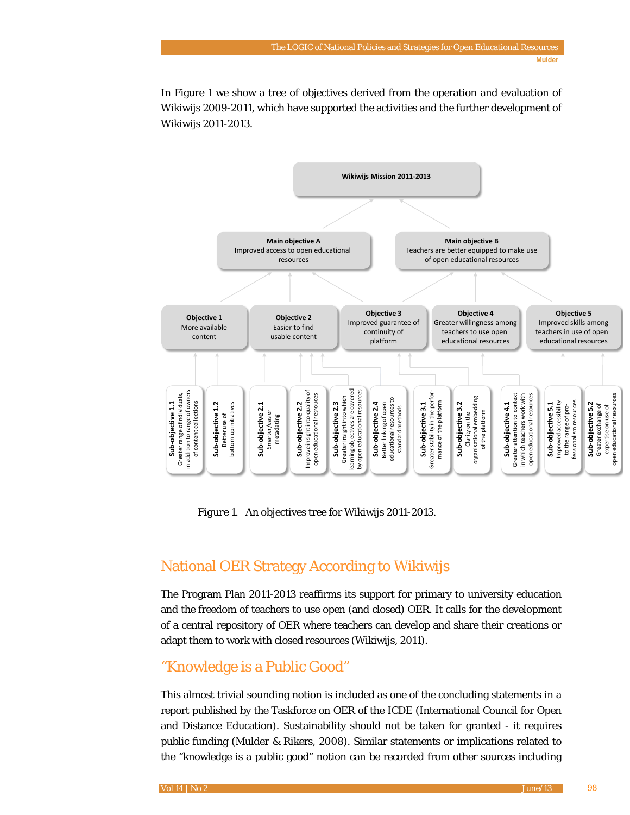In Figure 1 we show a tree of objectives derived from the operation and evaluation of Wikiwijs 2009-2011, which have supported the activities and the further development of Wikiwijs 2011-2013.



*Figure 1*. An objectives tree for Wikiwijs 2011-2013.

# National OER Strategy According to Wikiwijs

The Program Plan 2011-2013 reaffirms its support for primary to university education and the freedom of teachers to use open (and closed) OER. It calls for the development of a central repository of OER where teachers can develop and share their creations or adapt them to work with closed resources (Wikiwijs, 2011).

# "Knowledge is a Public Good"

This almost trivial sounding notion is included as one of the concluding statements in a report published by the Taskforce on OER of the ICDE (International Council for Open and Distance Education). Sustainability should not be taken for granted - it requires public funding (Mulder & Rikers, 2008). Similar statements or implications related to the "knowledge is a public good" notion can be recorded from other sources including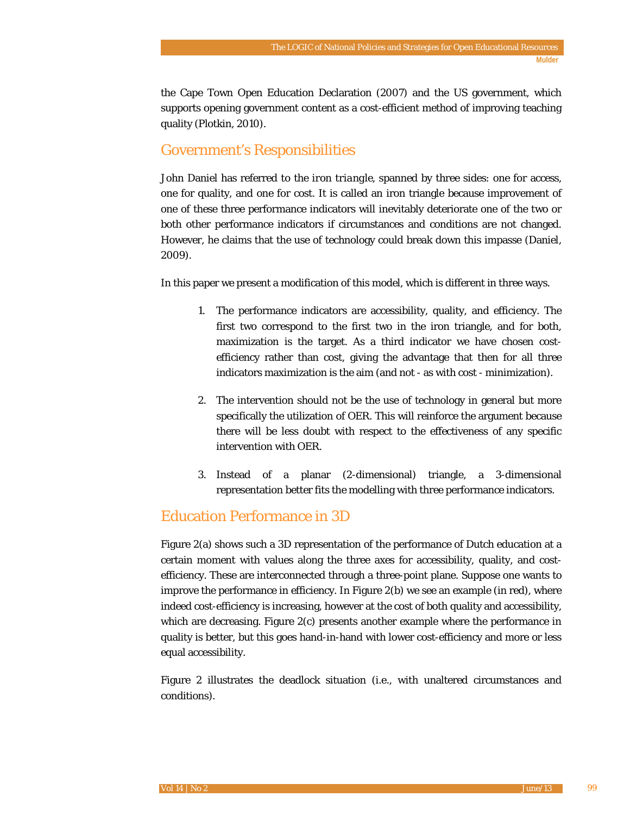the Cape Town Open Education Declaration (2007) and the US government, which supports opening government content as a cost-efficient method of improving teaching quality (Plotkin, 2010).

# Government's Responsibilities

John Daniel has referred to the *iron triangle*, spanned by three sides: one for access, one for quality, and one for cost. It is called an iron triangle because improvement of one of these three performance indicators will inevitably deteriorate one of the two or both other performance indicators if circumstances and conditions are not changed. However, he claims that the use of technology could break down this impasse (Daniel, 2009).

In this paper we present a modification of this model, which is different in three ways.

- 1. The performance indicators are accessibility, quality, and efficiency. The first two correspond to the first two in the iron triangle, and for both, maximization is the target. As a third indicator we have chosen costefficiency rather than cost, giving the advantage that then for all three indicators maximization is the aim (and not - as with cost - minimization).
- 2. The intervention should not be the use of technology in general but more specifically the utilization of OER. This will reinforce the argument because there will be less doubt with respect to the effectiveness of any specific intervention with OER.
- 3. Instead of a planar (2-dimensional) triangle, a 3-dimensional representation better fits the modelling with three performance indicators.

# Education Performance in 3D

Figure 2(a) shows such a 3D representation of the performance of Dutch education at a certain moment with values along the three axes for accessibility, quality, and costefficiency. These are interconnected through a three-point plane. Suppose one wants to improve the performance in efficiency. In Figure 2(b) we see an example (in red), where indeed cost-efficiency is increasing, however at the cost of both quality and accessibility, which are decreasing. Figure 2(c) presents another example where the performance in quality is better, but this goes hand-in-hand with lower cost-efficiency and more or less equal accessibility.

Figure 2 illustrates the deadlock situation (i.e., with unaltered circumstances and conditions).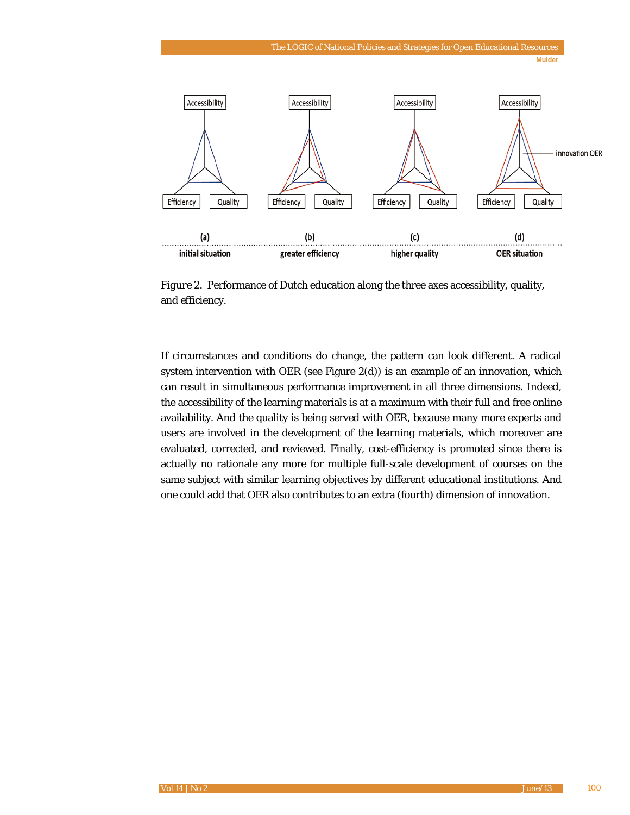

*Figure 2.* Performance of Dutch education along the three axes accessibility, quality, and efficiency.

If circumstances and conditions do change, the pattern can look different. A radical system intervention with OER (see Figure 2(d)) is an example of an innovation, which can result in simultaneous performance improvement in all three dimensions. Indeed, the accessibility of the learning materials is at a maximum with their full and free online availability. And the quality is being served with OER, because many more experts and users are involved in the development of the learning materials, which moreover are evaluated, corrected, and reviewed. Finally, cost-efficiency is promoted since there is actually no rationale any more for multiple full-scale development of courses on the same subject with similar learning objectives by different educational institutions. And one could add that OER also contributes to an extra (fourth) dimension of innovation.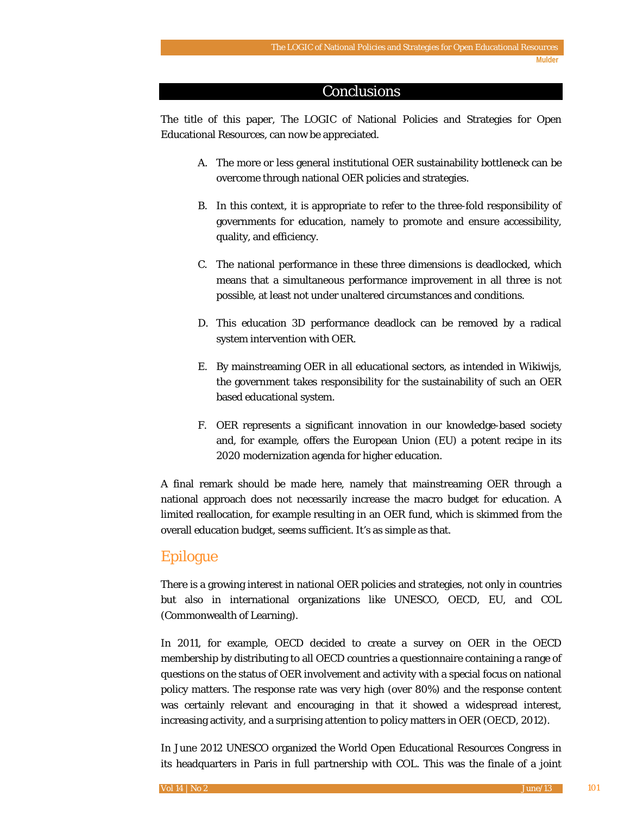### **Conclusions**

The title of this paper, The LOGIC of National Policies and Strategies for Open Educational Resources*,* can now be appreciated.

- A. The more or less general institutional OER sustainability bottleneck can be overcome through national OER policies and strategies.
- B. In this context, it is appropriate to refer to the three-fold responsibility of governments for education, namely to promote and ensure accessibility, quality, and efficiency.
- C. The national performance in these three dimensions is deadlocked, which means that a simultaneous performance improvement in all three is not possible, at least not under unaltered circumstances and conditions.
- D. This education 3D performance deadlock can be removed by a radical system intervention with OER.
- E. By mainstreaming OER in all educational sectors, as intended in Wikiwijs, the government takes responsibility for the sustainability of such an OER based educational system.
- F. OER represents a significant innovation in our knowledge-based society and, for example, offers the European Union (EU) a potent recipe in its 2020 modernization agenda for higher education.

A final remark should be made here, namely that mainstreaming OER through a national approach does not necessarily increase the macro budget for education. A limited reallocation, for example resulting in an OER fund, which is skimmed from the overall education budget, seems sufficient. It's as simple as that.

### Epilogue

There is a growing interest in national OER policies and strategies, not only in countries but also in international organizations like UNESCO, OECD, EU, and COL (Commonwealth of Learning).

In 2011, for example, OECD decided to create a survey on OER in the OECD membership by distributing to all OECD countries a questionnaire containing a range of questions on the status of OER involvement and activity with a special focus on national policy matters. The response rate was very high (over 80%) and the response content was certainly relevant and encouraging in that it showed a widespread interest, increasing activity, and a surprising attention to policy matters in OER (OECD, 2012).

In June 2012 UNESCO organized the World Open Educational Resources Congress in its headquarters in Paris in full partnership with COL. This was the finale of a joint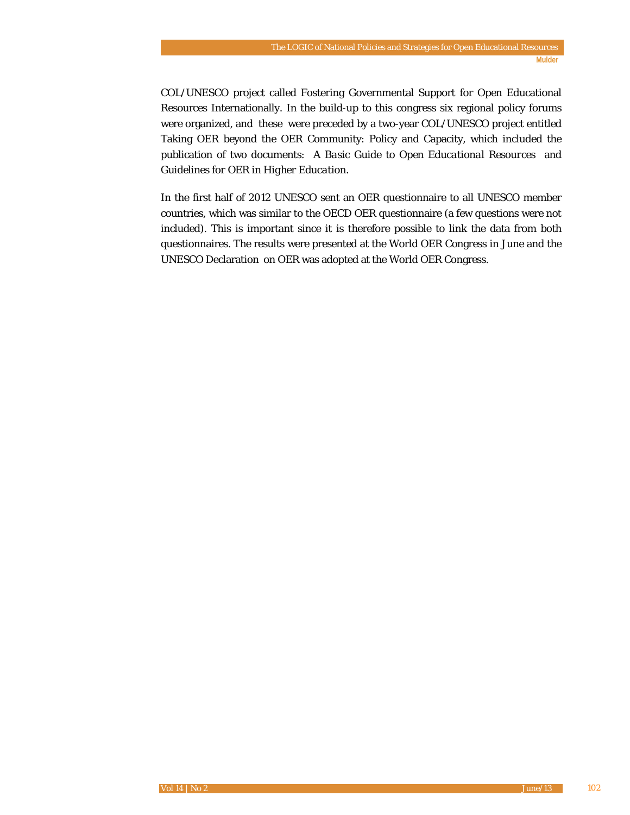COL/UNESCO project called Fostering Governmental Support for Open Educational Resources Internationally*.* In the build-up to this congress six regional policy forums were organized, and these were preceded by a two-year COL/UNESCO project entitled Taking OER beyond the OER Community: Policy and Capacity, which included the publication of two documents: *A Basic Guide to Open Educational Resources* and *Guidelines for OER in Higher Education.*

In the first half of 2012 UNESCO sent an OER questionnaire to all UNESCO member countries, which was similar to the OECD OER questionnaire (a few questions were not included). This is important since it is therefore possible to link the data from both questionnaires. The results were presented at the World OER Congress in June and the UNESCO Declaration on OER was adopted at the World OER Congress.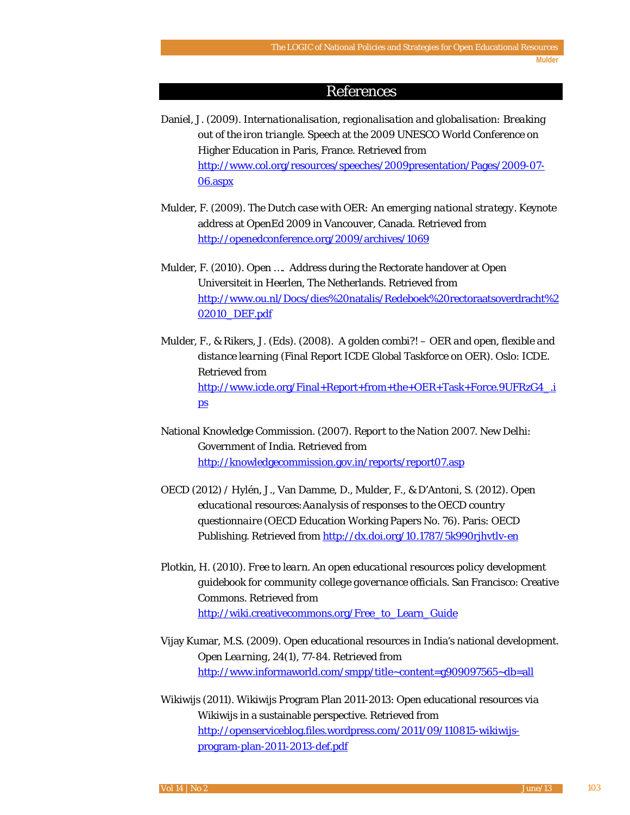### References

- Daniel, J. (2009). *Internationalisation, regionalisation and globalisation: Breaking out of the iron triangle*. Speech at the 2009 UNESCO World Conference on Higher Education in Paris, France. Retrieved from [http://www.col.org/resources/speeches/2009presentation/Pages/2009-07-](http://www.col.org/resources/speeches/2009presentation/Pages/2009-07-06.aspx) [06.aspx](http://www.col.org/resources/speeches/2009presentation/Pages/2009-07-06.aspx)
- Mulder, F. (2009). *The Dutch case with OER: An emerging national strategy*. Keynote address at OpenEd 2009 in Vancouver, Canada. Retrieved from <http://openedconference.org/2009/archives/1069>
- Mulder, F. (2010). *Open ….* Address during the Rectorate handover at Open Universiteit in Heerlen, The Netherlands. Retrieved from [http://www.ou.nl/Docs/dies%20natalis/Redeboek%20rectoraatsoverdracht%2](http://www.ou.nl/Docs/dies%20natalis/Redeboek%20rectoraatsoverdracht%202010_DEF.pdf) [02010\\_DEF.pdf](http://www.ou.nl/Docs/dies%20natalis/Redeboek%20rectoraatsoverdracht%202010_DEF.pdf)
- Mulder, F., & Rikers, J. (Eds). (2008). *A golden combi?! – OER and open, flexible and distance learning* (Final Report ICDE Global Taskforce on OER). Oslo: ICDE. Retrieved from [http://www.icde.org/Final+Report+from+the+OER+Task+Force.9UFRzG4\\_.i](http://www.icde.org/Final+Report+from+the+OER+Task+Force.9UFRzG4_.ips) [ps](http://www.icde.org/Final+Report+from+the+OER+Task+Force.9UFRzG4_.ips)
- National Knowledge Commission. (2007). *Report to the Nation 2007.* New Delhi: Government of India. Retrieved from <http://knowledgecommission.gov.in/reports/report07.asp>
- OECD (2012) / Hylén, J., Van Damme, D., Mulder, F., & D'Antoni, S. (2012). *Open educational resources:Aanalysis of responses to the OECD country questionnaire* (OECD Education Working Papers No. 76). Paris: OECD Publishing. Retrieved fro[m http://dx.doi.org/10.1787/5k990rjhvtlv-en](http://dx.doi.org/10.1787/5k990rjhvtlv-en)
- Plotkin, H. (2010). *Free to learn. An open educational resources policy development guidebook for community college governance officials*. San Francisco: Creative Commons. Retrieved from [http://wiki.creativecommons.org/Free\\_to\\_Learn\\_Guide](http://wiki.creativecommons.org/Free_to_Learn_Guide)
- Vijay Kumar, M.S. (2009). Open educational resources in India's national development. *Open Learning*, *24*(1), 77-84. Retrieved from <http://www.informaworld.com/smpp/title~content=g909097565~db=all>
- Wikiwijs (2011). Wikiwijs Program Plan 2011-2013: Open educational resources via Wikiwijs in a sustainable perspective. Retrieved from [http://openserviceblog.files.wordpress.com/2011/09/110815-wikiwijs](http://openserviceblog.files.wordpress.com/2011/09/110815-wikiwijs-program-plan-2011-2013-def.pdf)[program-plan-2011-2013-def.pdf](http://openserviceblog.files.wordpress.com/2011/09/110815-wikiwijs-program-plan-2011-2013-def.pdf)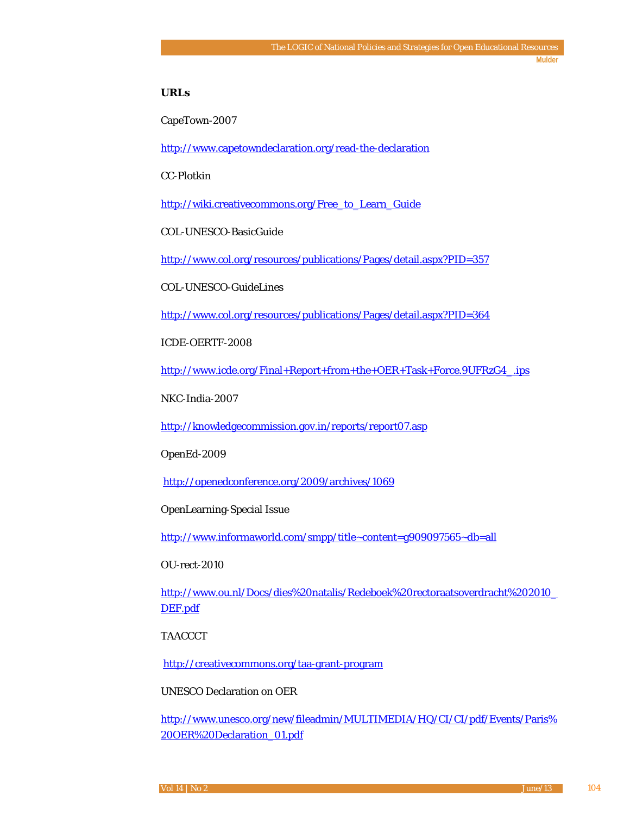#### **URLs**

CapeTown-2007

<http://www.capetowndeclaration.org/read-the-declaration>

CC-Plotkin

[http://wiki.creativecommons.org/Free\\_to\\_Learn\\_Guide](http://wiki.creativecommons.org/Free_to_Learn_Guide)

COL-UNESCO-BasicGuide

<http://www.col.org/resources/publications/Pages/detail.aspx?PID=357>

COL-UNESCO-GuideLines

<http://www.col.org/resources/publications/Pages/detail.aspx?PID=364>

ICDE-OERTF-2008

[http://www.icde.org/Final+Report+from+the+OER+Task+Force.9UFRzG4\\_.ips](http://www.icde.org/Final+Report+from+the+OER+Task+Force.9UFRzG4_.ips)

NKC-India-2007

<http://knowledgecommission.gov.in/reports/report07.asp>

OpenEd-2009

<http://openedconference.org/2009/archives/1069>

OpenLearning-Special Issue

<http://www.informaworld.com/smpp/title~content=g909097565~db=all>

OU-rect-2010

[http://www.ou.nl/Docs/dies%20natalis/Redeboek%20rectoraatsoverdracht%202010\\_](http://www.ou.nl/Docs/dies%20natalis/Redeboek%20rectoraatsoverdracht%202010_DEF.pdf) [DEF.pdf](http://www.ou.nl/Docs/dies%20natalis/Redeboek%20rectoraatsoverdracht%202010_DEF.pdf)

TAACCCT

<http://creativecommons.org/taa-grant-program>

UNESCO Declaration on OER

[http://www.unesco.org/new/fileadmin/MULTIMEDIA/HQ/CI/CI/pdf/Events/Paris%](http://www.unesco.org/new/fileadmin/MULTIMEDIA/HQ/CI/CI/pdf/Events/Paris%20OER%20Declaration_01.pdf) [20OER%20Declaration\\_01.pdf](http://www.unesco.org/new/fileadmin/MULTIMEDIA/HQ/CI/CI/pdf/Events/Paris%20OER%20Declaration_01.pdf)